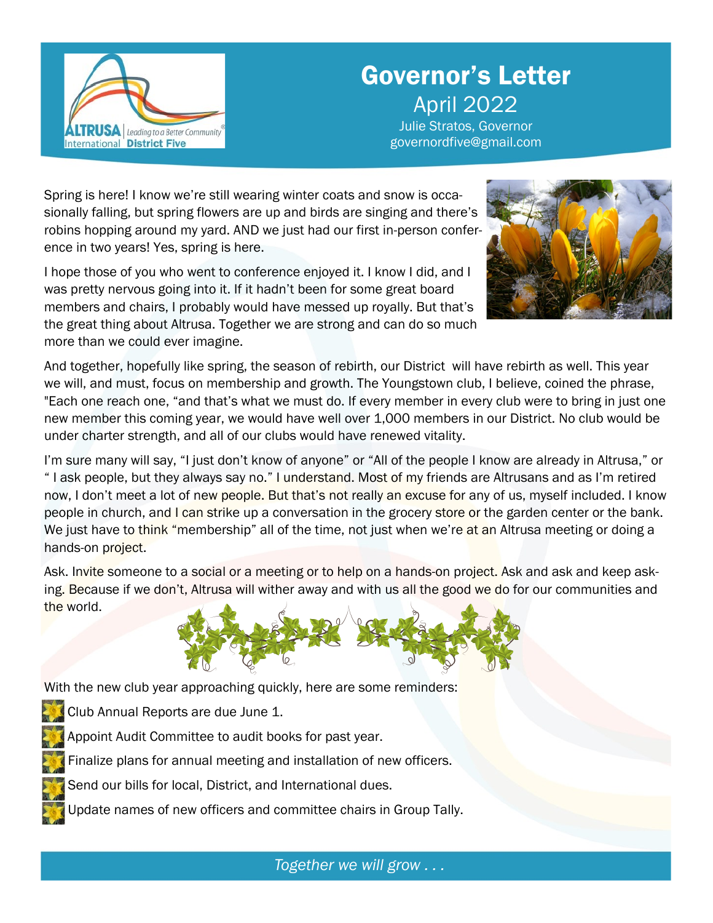

## Governor's Letter Governor's Letter External 2022<br>April 2022

governordfive@gmail.com Julie Stratos, Governor

governordfive@gmail.com

Spring is here! I know we're still wearing winter coats and snow is occasionally falling, but spring flowers are up and birds are singing and there's robins hopping around my yard. AND we just had our first in-person conference in two years! Yes, spring is here.

I hope those of you who went to conference enjoyed it. I know I did, and I was pretty nervous going into it. If it hadn't been for some great board members and chairs, I probably would have messed up royally. But that's the great thing about Altrusa. Together we are strong and can do so much more than we could ever imagine.



And together, hopefully like spring, the season of rebirth, our District will have rebirth as well. This year we will, and must, focus on membership and growth. The Youngstown club, I believe, coined the phrase, "Each one reach one, "and that's what we must do. If every member in every club were to bring in just one new member this coming year, we would have well over 1,000 members in our District. No club would be under charter strength, and all of our clubs would have renewed vitality.

I'm sure many will say, "I just don't know of anyone" or "All of the people I know are already in Altrusa," or " I ask people, but they always say no." I understand. Most of my friends are Altrusans and as I'm retired now, I don't meet a lot of new people. But that's not really an excuse for any of us, myself included. I know people in church, and I can strike up a conversation in the grocery store or the garden center or the bank. We just have to think "membership" all of the time, not just when we're at an Altrusa meeting or doing a hands-on project.

Ask. Invite someone to a social or a meeting or to help on a hands-on project. Ask and ask and keep asking. Because if we don't, Altrusa will wither away and with us all the good we do for our communities and the world.



With the new club year approaching quickly, here are some reminders:

Club Annual Reports are due June 1.

Appoint Audit Committee to audit books for past year.

Finalize plans for annual meeting and installation of new officers.

Send our bills for local, District, and International dues.

Update names of new officers and committee chairs in Group Tally.